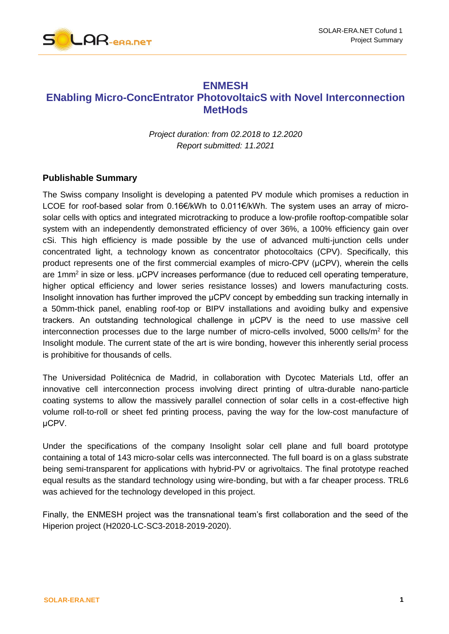

## **ENMESH ENabling Micro-ConcEntrator PhotovoltaicS with Novel Interconnection MetHods**

*Project duration: from 02.2018 to 12.2020 Report submitted: 11.2021*

## **Publishable Summary**

The Swiss company Insolight is developing a patented PV module which promises a reduction in LCOE for roof-based solar from 0.16€/kWh to 0.011€/kWh. The system uses an array of microsolar cells with optics and integrated microtracking to produce a low-profile rooftop-compatible solar system with an independently demonstrated efficiency of over 36%, a 100% efficiency gain over cSi. This high efficiency is made possible by the use of advanced multi-junction cells under concentrated light, a technology known as concentrator photocoltaics (CPV). Specifically, this product represents one of the first commercial examples of micro-CPV (μCPV), wherein the cells are 1mm<sup>2</sup> in size or less. μCPV increases performance (due to reduced cell operating temperature, higher optical efficiency and lower series resistance losses) and lowers manufacturing costs. Insolight innovation has further improved the μCPV concept by embedding sun tracking internally in a 50mm-thick panel, enabling roof-top or BIPV installations and avoiding bulky and expensive trackers. An outstanding technological challenge in μCPV is the need to use massive cell interconnection processes due to the large number of micro-cells involved, 5000 cells/ $m<sup>2</sup>$  for the Insolight module. The current state of the art is wire bonding, however this inherently serial process is prohibitive for thousands of cells.

The Universidad Politécnica de Madrid, in collaboration with Dycotec Materials Ltd, offer an innovative cell interconnection process involving direct printing of ultra-durable nano-particle coating systems to allow the massively parallel connection of solar cells in a cost-effective high volume roll-to-roll or sheet fed printing process, paving the way for the low-cost manufacture of μCPV.

Under the specifications of the company Insolight solar cell plane and full board prototype containing a total of 143 micro-solar cells was interconnected. The full board is on a glass substrate being semi-transparent for applications with hybrid-PV or agrivoltaics. The final prototype reached equal results as the standard technology using wire-bonding, but with a far cheaper process. TRL6 was achieved for the technology developed in this project.

Finally, the ENMESH project was the transnational team's first collaboration and the seed of the Hiperion project (H2020-LC-SC3-2018-2019-2020).